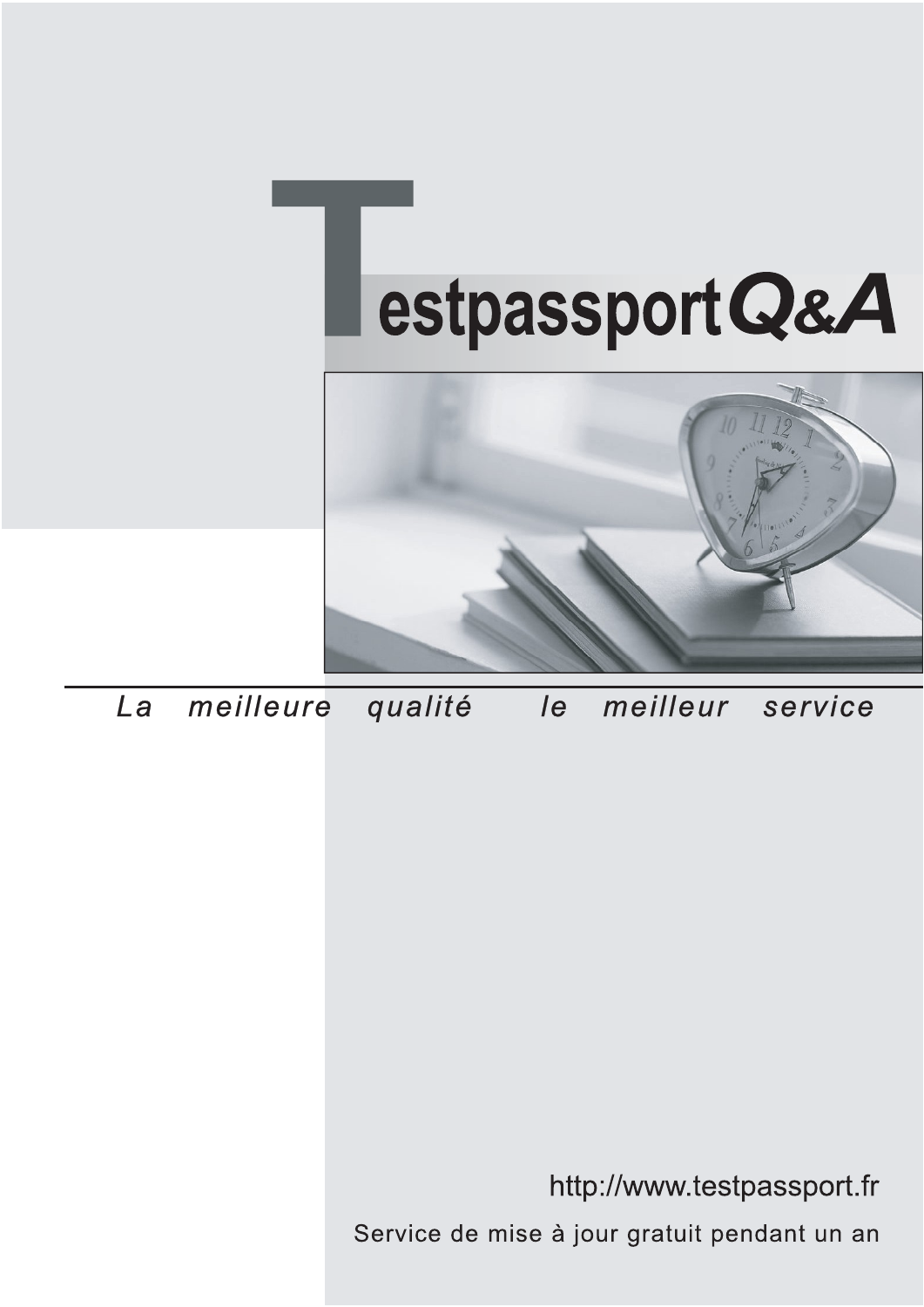



meilleure La qualité  $\overline{e}$ meilleur service

http://www.testpassport.fr

Service de mise à jour gratuit pendant un an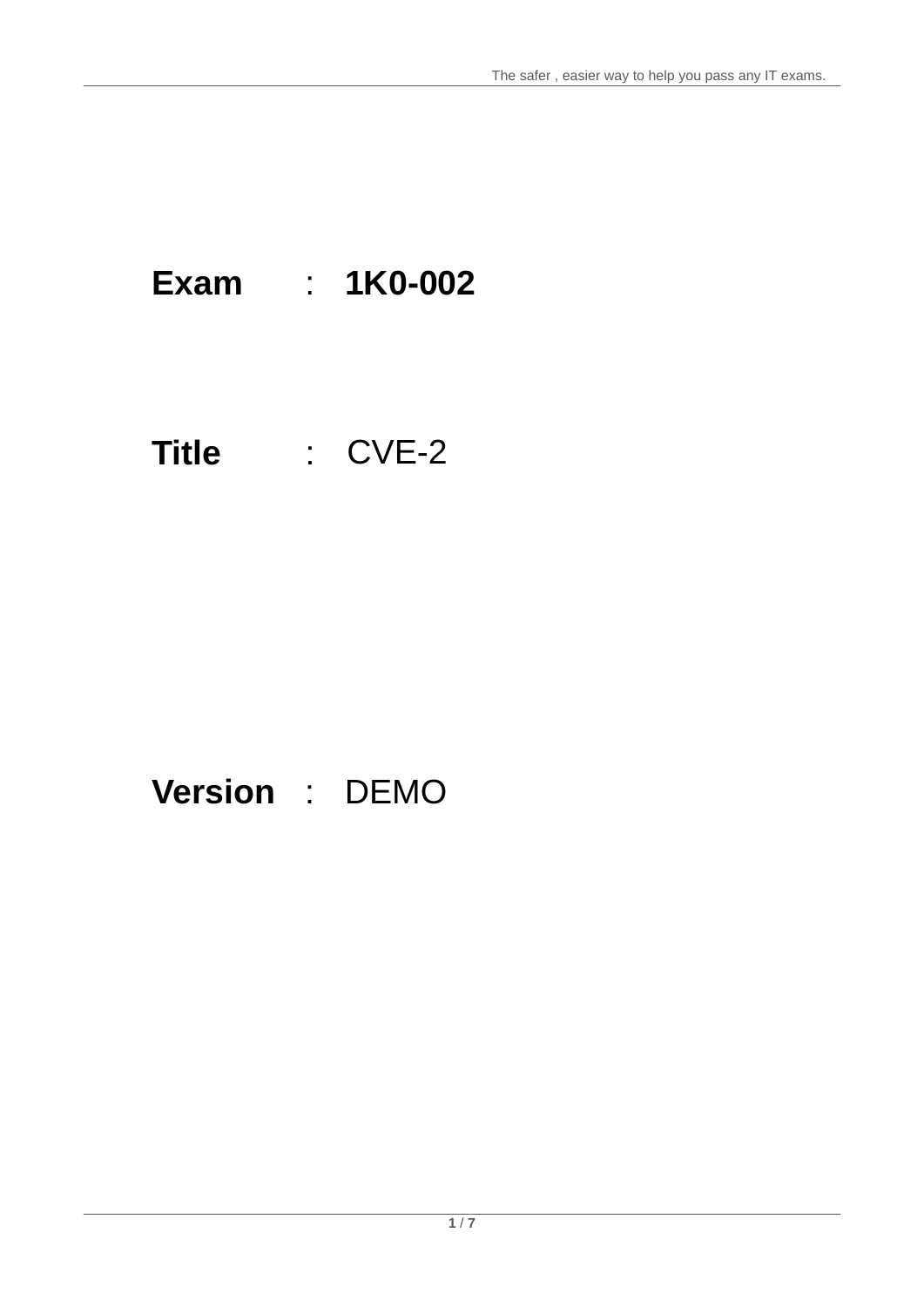## **Exam** : **1K0-002**

## **Title** : CVE-2

## **Version** : DEMO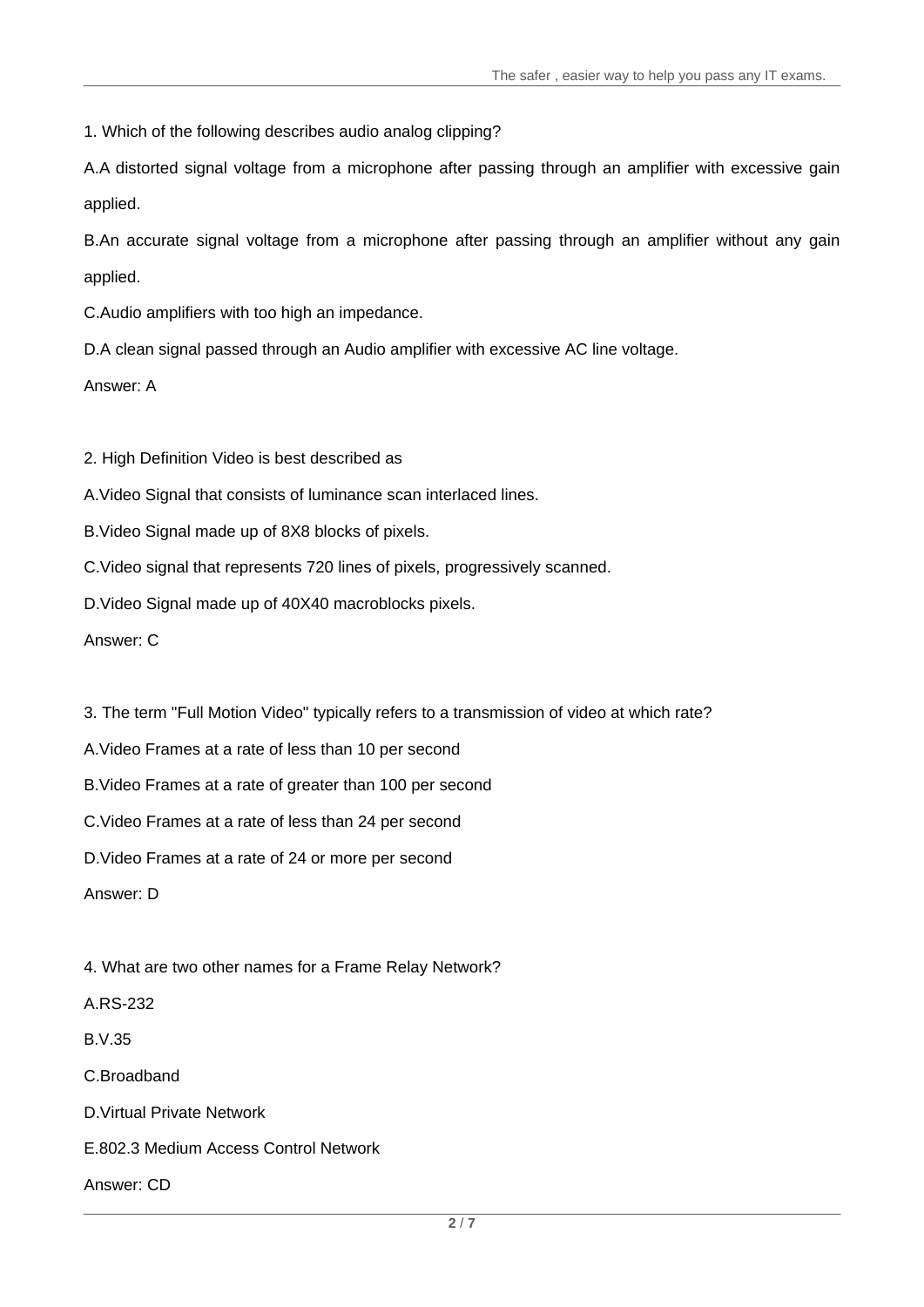1. Which of the following describes audio analog clipping?

A.A distorted signal voltage from a microphone after passing through an amplifier with excessive gain applied. And the contract of the contract of the contract of the contract of the contract of the contract of the contract of the contract of the contract of the contract of the contract of the contract of the contract of t

B.An accurate signal voltage from a microphone after passing through an amplifier without any gain applied. And the contract of the contract of the contract of the contract of the contract of the contract of the contract of the contract of the contract of the contract of the contract of the contract of the contract of t

C.Audio amplifiers with too high an impedance.

D.A clean signal passed through an Audio amplifier with excessive AC line voltage.

Answer: A

2. High Definition Video is best described as

A.Video Signal that consists of luminance scan interlaced lines.

B.Video Signal made up of 8X8 blocks of pixels.

C.Video signal that represents 720 lines of pixels, progressively scanned.

D.Video Signal made up of 40X40 macroblocks pixels.

Answer: C

3. The term "Full Motion Video" typically refers to a transmission of video at which rate?

A.Video Frames at a rate of less than 10 per second

B.Video Frames at a rate of greater than 100 per second

C.Video Frames at a rate of less than 24 per second

D.Video Frames at a rate of 24 or more per second

Answer: D

4. What are two other names for a Frame Relay Network?

A.RS-232

B.V.35

C.Broadband

D.Virtual Private Network

E.802.3 Medium Access Control Network

Answer: CD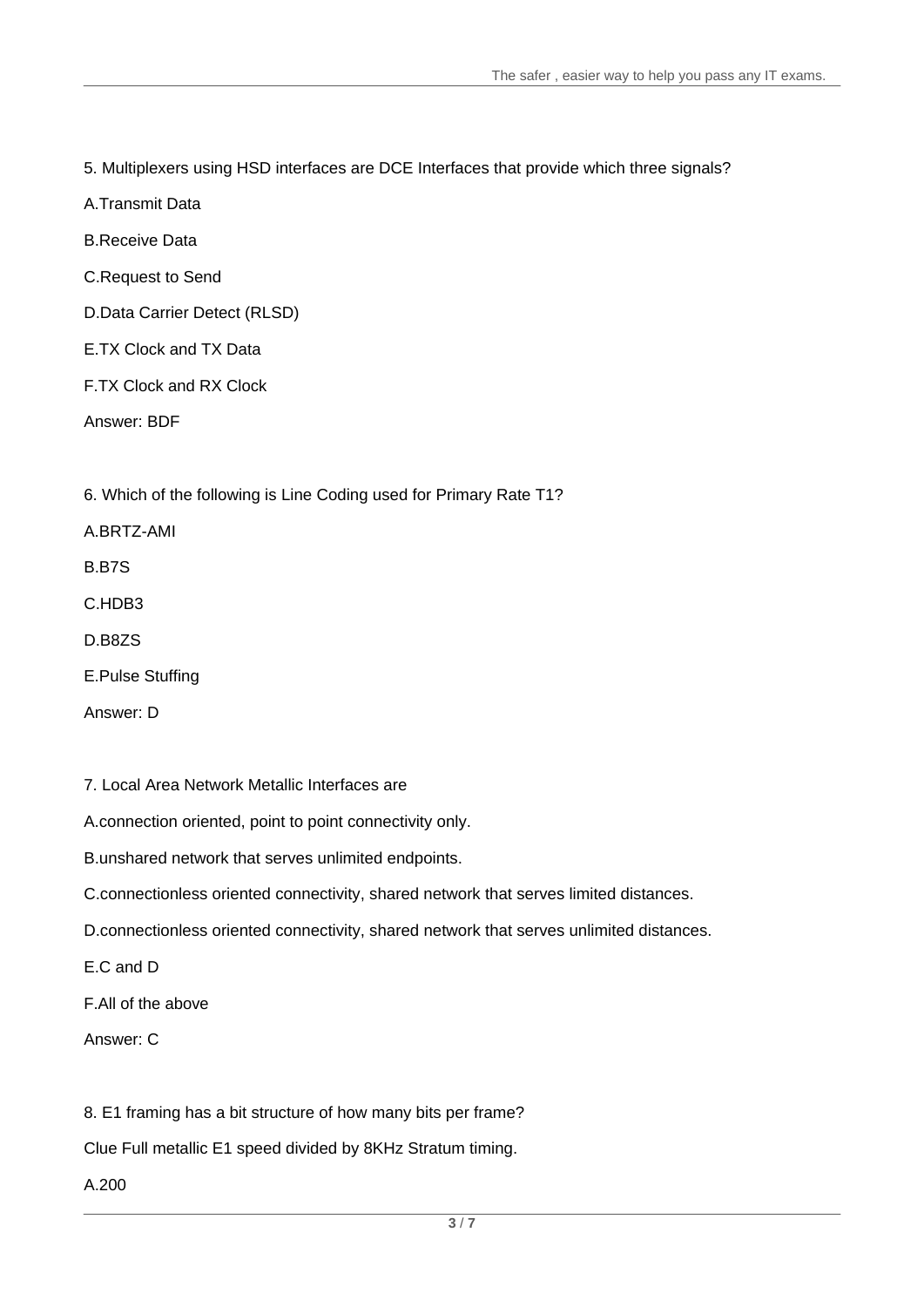5. Multiplexers using HSD interfaces are DCE Interfaces that provide which three signals?

A.Transmit Data

B.Receive Data

C.Request to Send

D.Data Carrier Detect (RLSD)

E.TX Clock and TX Data

F.TX Clock and RX Clock

Answer: BDF

6. Which of the following is Line Coding used for Primary Rate T1?

A.BRTZ-AMI

B.B7S

C.HDB3 and the contract of the contract of the contract of the contract of the contract of the contract of the contract of the contract of the contract of the contract of the contract of the contract of the contract of the

D.B8ZS

E.Pulse Stuffing

Answer: D

7. Local Area Network Metallic Interfaces are

A.connection oriented, point to point connectivity only.

B.unshared network that serves unlimited endpoints.

C.connectionless oriented connectivity, shared network that serves limited distances.

D.connectionless oriented connectivity, shared network that serves unlimited distances.

E.C and D

F.All of the above

Answer: C

8. E1 framing has a bit structure of how many bits per frame?

Clue Full metallic E1 speed divided by 8KHz Stratum timing.

A.200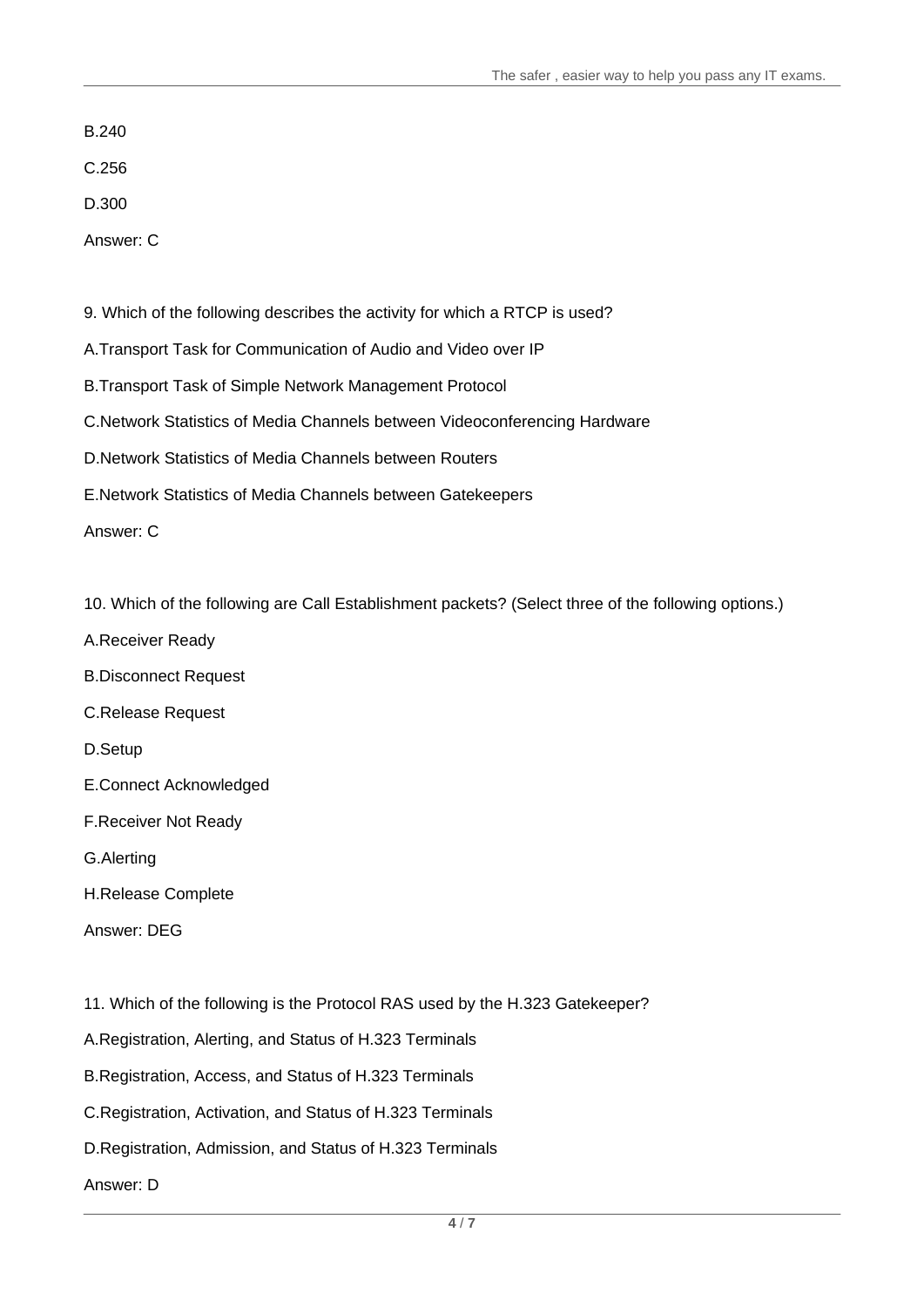B.240

C.256

D.300

Answer: C

9. Which of the following describes the activity for which a RTCP is used?

A.Transport Task for Communication of Audio and Video over IP

B.Transport Task of Simple Network Management Protocol

C.Network Statistics of Media Channels between Videoconferencing Hardware

D.Network Statistics of Media Channels between Routers

E.Network Statistics of Media Channels between Gatekeepers

Answer: C

10. Which of the following are Call Establishment packets? (Select three of the following options.)

- A.Receiver Ready
- B.Disconnect Request
- C.Release Request

D.Setup

E.Connect Acknowledged

F.Receiver Not Ready

G.Alerting

H.Release Complete

Answer: DEG

11. Which of the following is the Protocol RAS used by the H.323 Gatekeeper?

A.Registration, Alerting, and Status of H.323 Terminals

B.Registration, Access, and Status of H.323 Terminals

C.Registration, Activation, and Status of H.323 Terminals

D.Registration, Admission, and Status of H.323 Terminals

Answer: D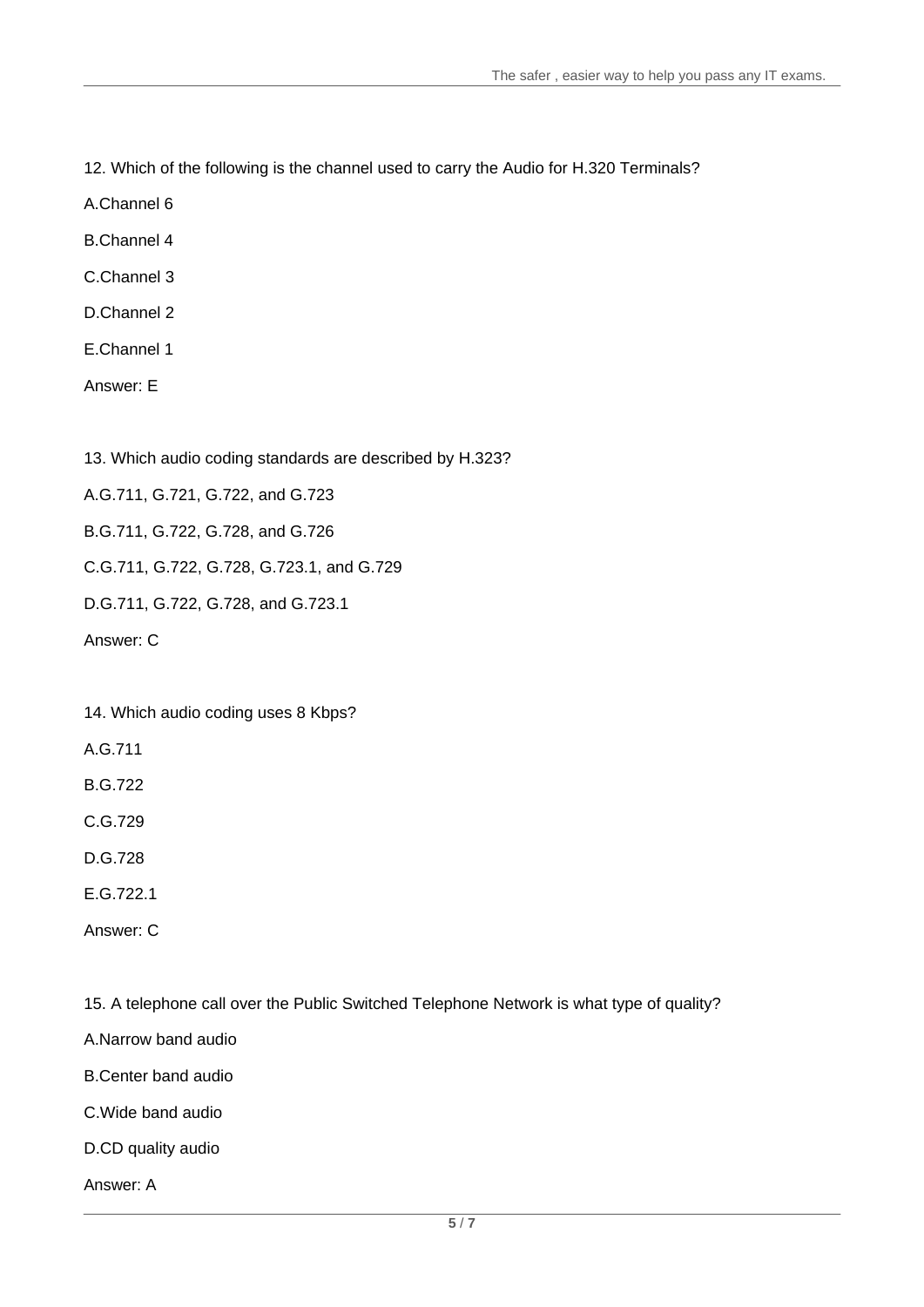12. Which of the following is the channel used to carry the Audio for H.320 Terminals?

A.Channel 6

B.Channel 4

C.Channel 3

D.Channel 2

E.Channel 1

Answer: E

13. Which audio coding standards are described by H.323?

A.G.711, G.721, G.722, and G.723

B.G.711, G.722, G.728, and G.726

C.G.711, G.722, G.728, G.723.1, and G.729

D.G.711, G.722, G.728, and G.723.1

Answer: C

14. Which audio coding uses 8 Kbps?

A.G.711

B.G.722

C.G.729

D.G.728

E.G.722.1

Answer: C

15. A telephone call over the Public Switched Telephone Network is what type of quality?

A.Narrow band audio

B.Center band audio

C.Wide band audio

D.CD quality audio

Answer: A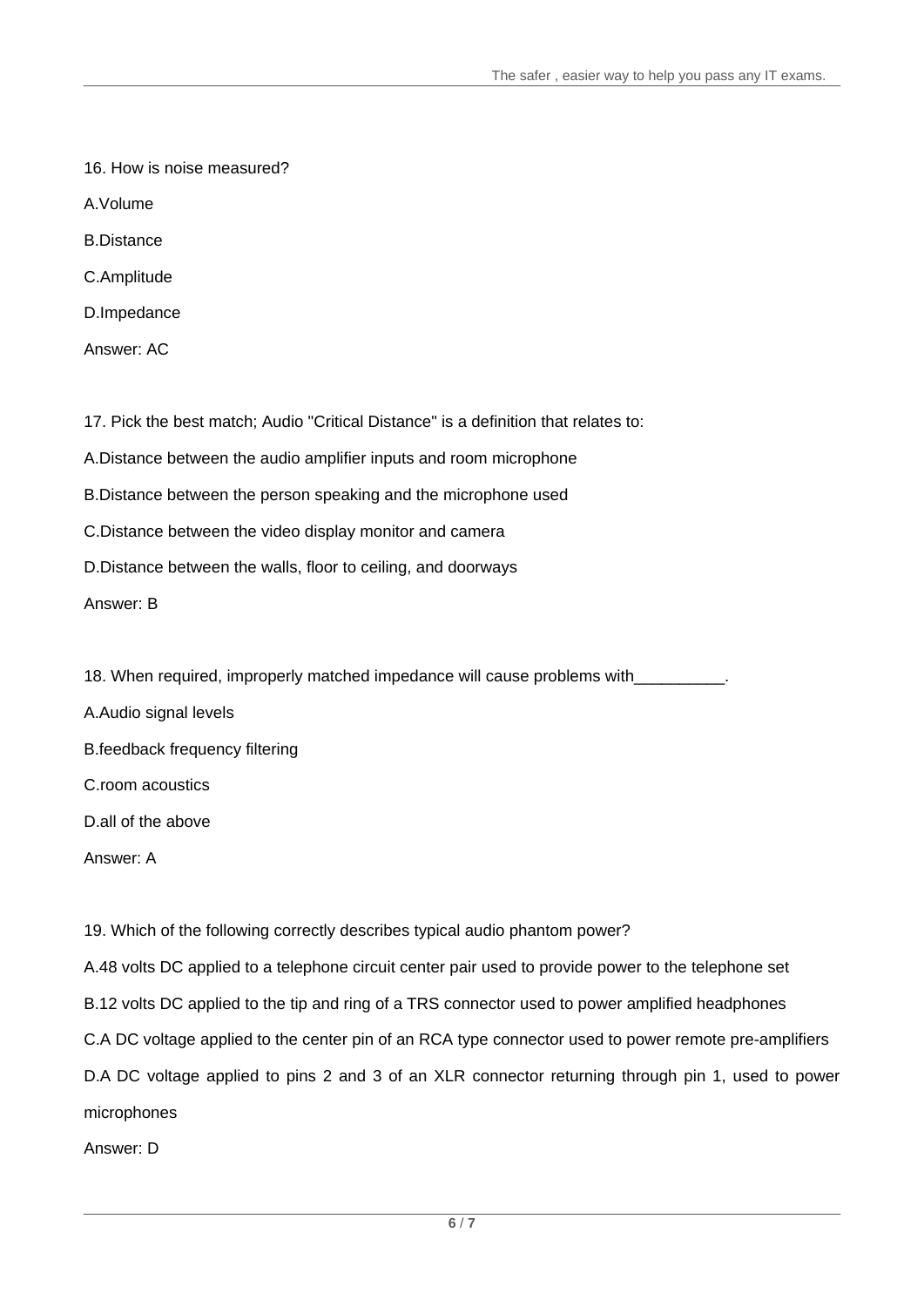- 16. How is noise measured?
- A.Volume
- B.Distance
- C.Amplitude
- D.Impedance
- Answer: AC

17. Pick the best match; Audio "Critical Distance" is a definition that relates to:

A.Distance between the audio amplifier inputs and room microphone

B.Distance between the person speaking and the microphone used

- C.Distance between the video display monitor and camera
- D.Distance between the walls, floor to ceiling, and doorways

Answer: B

- 18. When required, improperly matched impedance will cause problems with
- A.Audio signal levels
- B.feedback frequency filtering
- C.room acoustics
- D.all of the above
- Answer: A

19. Which of the following correctly describes typical audio phantom power?

A.48 volts DC applied to a telephone circuit center pair used to provide power to the telephone set B.12 volts DC applied to the tip and ring of a TRS connector used to power amplified headphones C.A DC voltage applied to the center pin of an RCA type connector used to power remote pre-amplifiers D.A DC voltage applied to pins 2 and 3 of an XLR connector returning through pin 1, used to power microphones

Answer: D